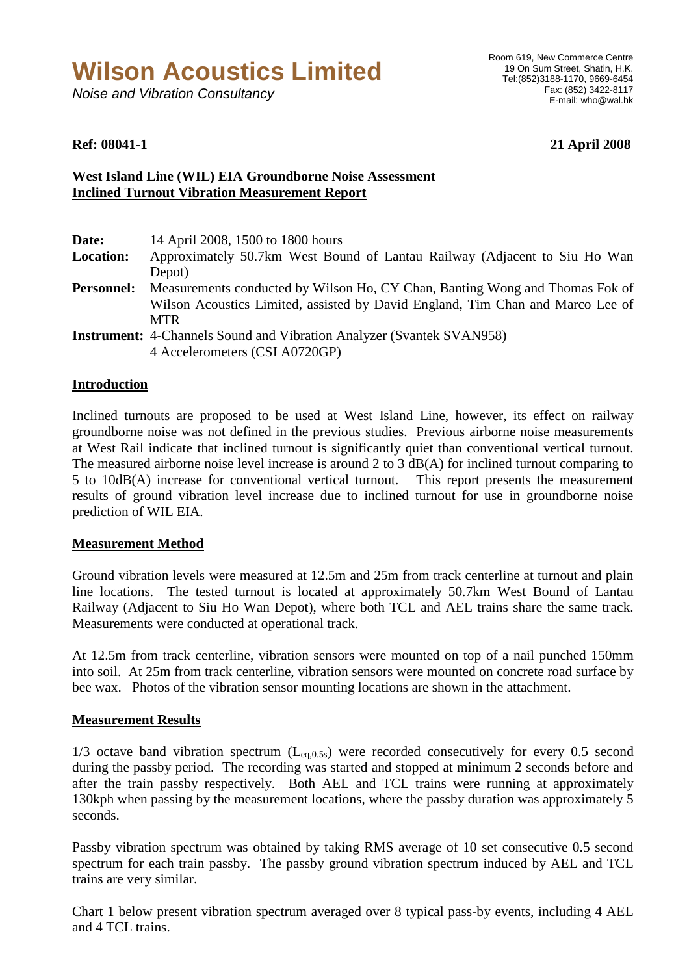# **Wilson Acoustics Limited**

Noise and Vibration Consultancy

**Ref: 08041-1 21 April 2008** 

## **West Island Line (WIL) EIA Groundborne Noise Assessment Inclined Turnout Vibration Measurement Report**

| Date:             | 14 April 2008, 1500 to 1800 hours                                              |
|-------------------|--------------------------------------------------------------------------------|
| <b>Location:</b>  | Approximately 50.7km West Bound of Lantau Railway (Adjacent to Siu Ho Wan      |
|                   | Depot)                                                                         |
| <b>Personnel:</b> | Measurements conducted by Wilson Ho, CY Chan, Banting Wong and Thomas Fok of   |
|                   | Wilson Acoustics Limited, assisted by David England, Tim Chan and Marco Lee of |
|                   | <b>MTR</b>                                                                     |
|                   | <b>Instrument:</b> 4-Channels Sound and Vibration Analyzer (Svantek SVAN958)   |
|                   | 4 Accelerometers (CSI A0720GP)                                                 |

### **Introduction**

Inclined turnouts are proposed to be used at West Island Line, however, its effect on railway groundborne noise was not defined in the previous studies. Previous airborne noise measurements at West Rail indicate that inclined turnout is significantly quiet than conventional vertical turnout. The measured airborne noise level increase is around 2 to 3 dB(A) for inclined turnout comparing to 5 to 10dB(A) increase for conventional vertical turnout. This report presents the measurement results of ground vibration level increase due to inclined turnout for use in groundborne noise prediction of WIL EIA.

### **Measurement Method**

Ground vibration levels were measured at 12.5m and 25m from track centerline at turnout and plain line locations. The tested turnout is located at approximately 50.7km West Bound of Lantau Railway (Adjacent to Siu Ho Wan Depot), where both TCL and AEL trains share the same track. Measurements were conducted at operational track.

At 12.5m from track centerline, vibration sensors were mounted on top of a nail punched 150mm into soil. At 25m from track centerline, vibration sensors were mounted on concrete road surface by bee wax. Photos of the vibration sensor mounting locations are shown in the attachment.

### **Measurement Results**

 $1/3$  octave band vibration spectrum ( $L_{eq,0.5s}$ ) were recorded consecutively for every 0.5 second during the passby period. The recording was started and stopped at minimum 2 seconds before and after the train passby respectively. Both AEL and TCL trains were running at approximately 130kph when passing by the measurement locations, where the passby duration was approximately 5 seconds.

Passby vibration spectrum was obtained by taking RMS average of 10 set consecutive 0.5 second spectrum for each train passby. The passby ground vibration spectrum induced by AEL and TCL trains are very similar.

Chart 1 below present vibration spectrum averaged over 8 typical pass-by events, including 4 AEL and 4 TCL trains.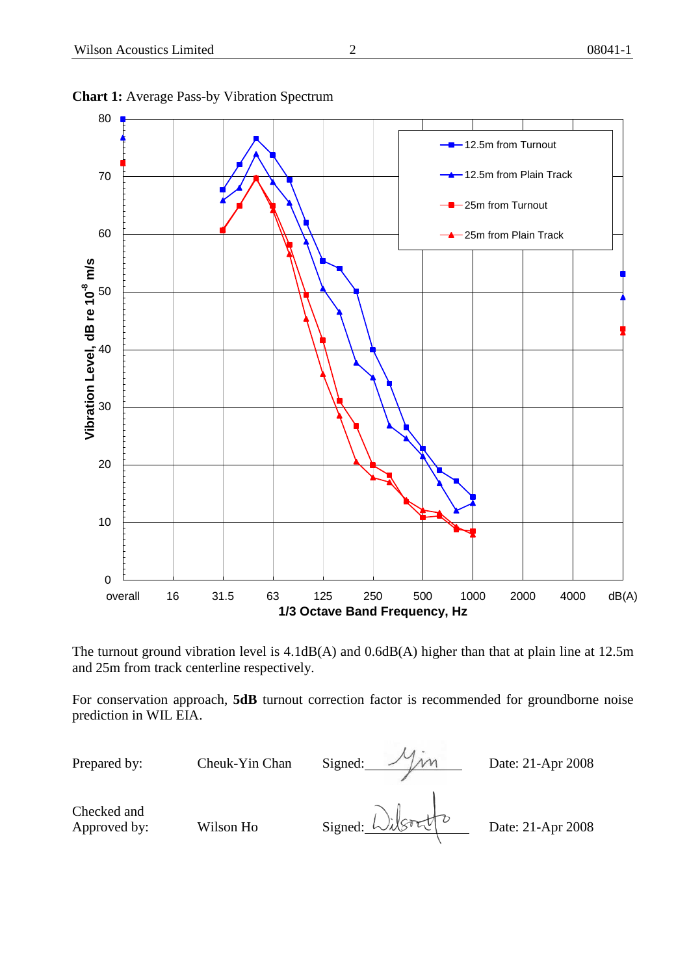

#### **Chart 1:** Average Pass-by Vibration Spectrum

The turnout ground vibration level is 4.1dB(A) and 0.6dB(A) higher than that at plain line at 12.5m and 25m from track centerline respectively.

For conservation approach, **5dB** turnout correction factor is recommended for groundborne noise prediction in WIL EIA.

Prepared by: Cheuk-Yin Chan Signed: Man Date: 21-Apr 2008 Checked and Checked and<br>Approved by: Wilson Ho Signed:  $\bigcup_{\mathcal{A}} \bigcup_{\mathcal{A}} \bigcup_{\mathcal{A}} \bigcup_{\mathcal{A}} \bigcup_{\mathcal{A}} \bigcup_{\mathcal{A}} \bigcup_{\mathcal{A}} \bigcup_{\mathcal{A}} \bigcup_{\mathcal{A}} \bigcup_{\mathcal{A}} \bigcup_{\mathcal{A}} \bigcup_{\mathcal{A}} \bigcup_{\mathcal{A}} \bigcup_{\mathcal{A}} \bigcup_{\mathcal{A}} \bigcup_{\mathcal{A}} \bigcup_{\mathcal{A}} \bigcup_{\mathcal$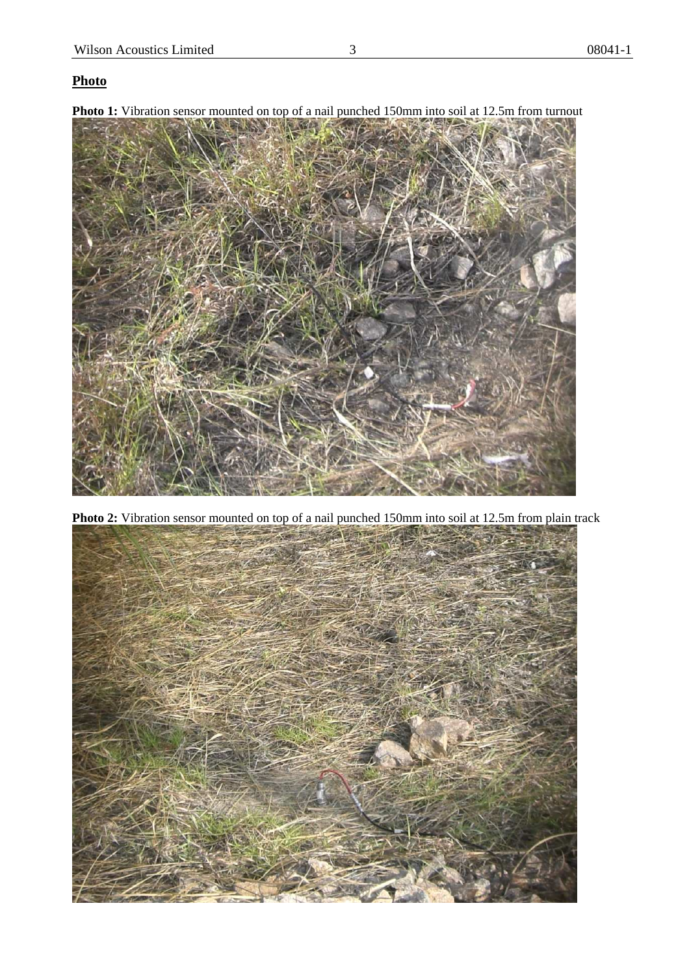# **Photo**

**Photo 1:** Vibration sensor mounted on top of a nail punched 150mm into soil at 12.5m from turnout



**Photo 2:** Vibration sensor mounted on top of a nail punched 150mm into soil at 12.5m from plain track